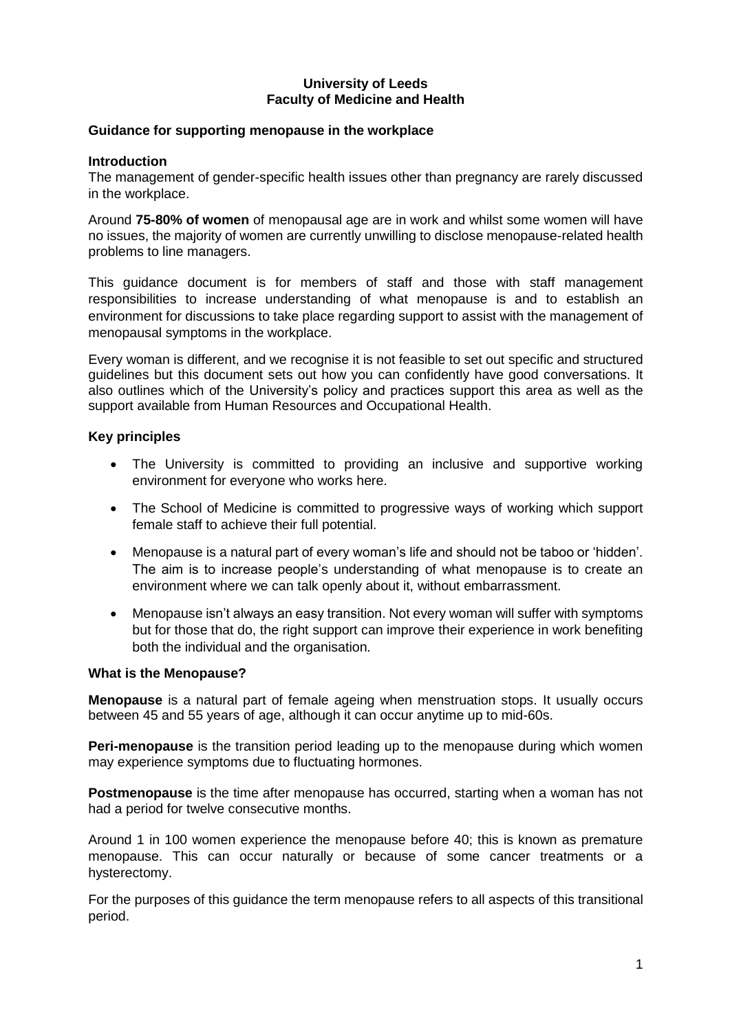#### **University of Leeds Faculty of Medicine and Health**

#### **Guidance for supporting menopause in the workplace**

#### **Introduction**

The management of gender-specific health issues other than pregnancy are rarely discussed in the workplace.

Around **75-80% of women** of menopausal age are in work and whilst some women will have no issues, the majority of women are currently unwilling to disclose menopause-related health problems to line managers.

This guidance document is for members of staff and those with staff management responsibilities to increase understanding of what menopause is and to establish an environment for discussions to take place regarding support to assist with the management of menopausal symptoms in the workplace.

Every woman is different, and we recognise it is not feasible to set out specific and structured guidelines but this document sets out how you can confidently have good conversations. It also outlines which of the University's policy and practices support this area as well as the support available from Human Resources and Occupational Health.

#### **Key principles**

- The University is committed to providing an inclusive and supportive working environment for everyone who works here.
- The School of Medicine is committed to progressive ways of working which support female staff to achieve their full potential.
- Menopause is a natural part of every woman's life and should not be taboo or 'hidden'. The aim is to increase people's understanding of what menopause is to create an environment where we can talk openly about it, without embarrassment.
- Menopause isn't always an easy transition. Not every woman will suffer with symptoms but for those that do, the right support can improve their experience in work benefiting both the individual and the organisation.

#### **What is the Menopause?**

**Menopause** is a natural part of female ageing when menstruation stops. It usually occurs between 45 and 55 years of age, although it can occur anytime up to mid-60s.

**Peri-menopause** is the transition period leading up to the menopause during which women may experience symptoms due to fluctuating hormones.

**Postmenopause** is the time after menopause has occurred, starting when a woman has not had a period for twelve consecutive months.

Around 1 in 100 women experience the menopause before 40; this is known as premature menopause. This can occur naturally or because of some cancer treatments or a hysterectomy.

For the purposes of this guidance the term menopause refers to all aspects of this transitional period.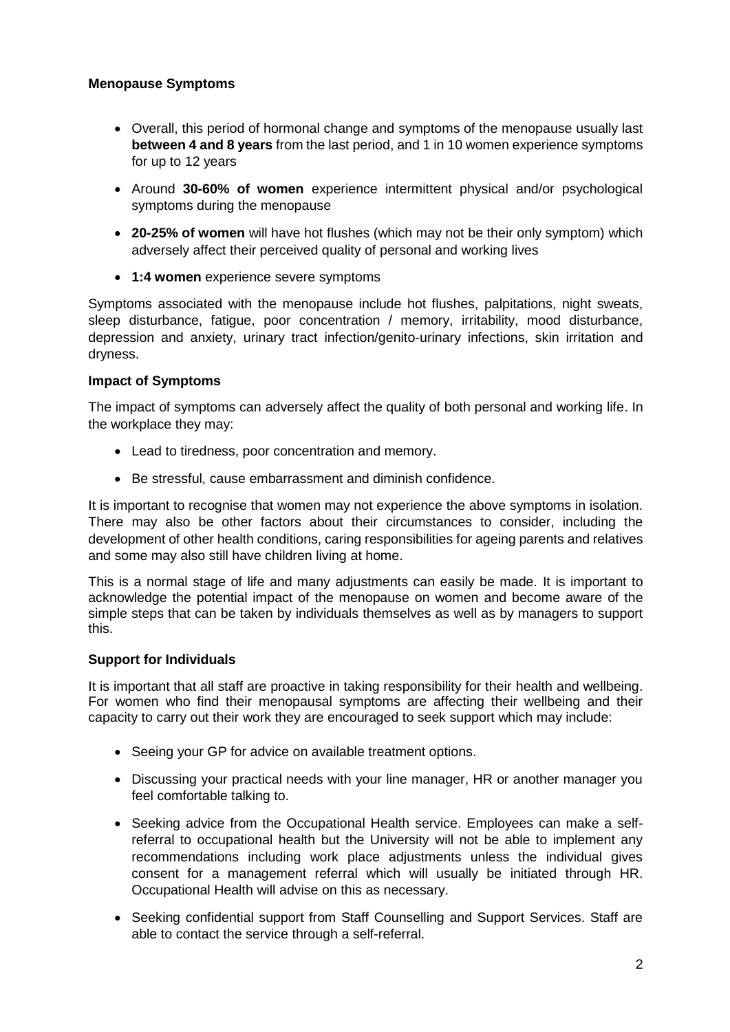# **Menopause Symptoms**

- Overall, this period of hormonal change and symptoms of the menopause usually last **between 4 and 8 years** from the last period, and 1 in 10 women experience symptoms for up to 12 years
- Around **30-60% of women** experience intermittent physical and/or psychological symptoms during the menopause
- **20-25% of women** will have hot flushes (which may not be their only symptom) which adversely affect their perceived quality of personal and working lives
- **1:4 women** experience severe symptoms

Symptoms associated with the menopause include hot flushes, palpitations, night sweats, sleep disturbance, fatigue, poor concentration / memory, irritability, mood disturbance, depression and anxiety, urinary tract infection/genito-urinary infections, skin irritation and dryness.

# **Impact of Symptoms**

The impact of symptoms can adversely affect the quality of both personal and working life. In the workplace they may:

- Lead to tiredness, poor concentration and memory.
- Be stressful, cause embarrassment and diminish confidence.

It is important to recognise that women may not experience the above symptoms in isolation. There may also be other factors about their circumstances to consider, including the development of other health conditions, caring responsibilities for ageing parents and relatives and some may also still have children living at home.

This is a normal stage of life and many adjustments can easily be made. It is important to acknowledge the potential impact of the menopause on women and become aware of the simple steps that can be taken by individuals themselves as well as by managers to support this.

## **Support for Individuals**

It is important that all staff are proactive in taking responsibility for their health and wellbeing. For women who find their menopausal symptoms are affecting their wellbeing and their capacity to carry out their work they are encouraged to seek support which may include:

- Seeing your GP for advice on available treatment options.
- Discussing your practical needs with your line manager, HR or another manager you feel comfortable talking to.
- Seeking advice from the Occupational Health service. Employees can make a selfreferral to occupational health but the University will not be able to implement any recommendations including work place adjustments unless the individual gives consent for a management referral which will usually be initiated through HR. Occupational Health will advise on this as necessary.
- Seeking confidential support from Staff Counselling and Support Services. Staff are able to contact the service through a self-referral.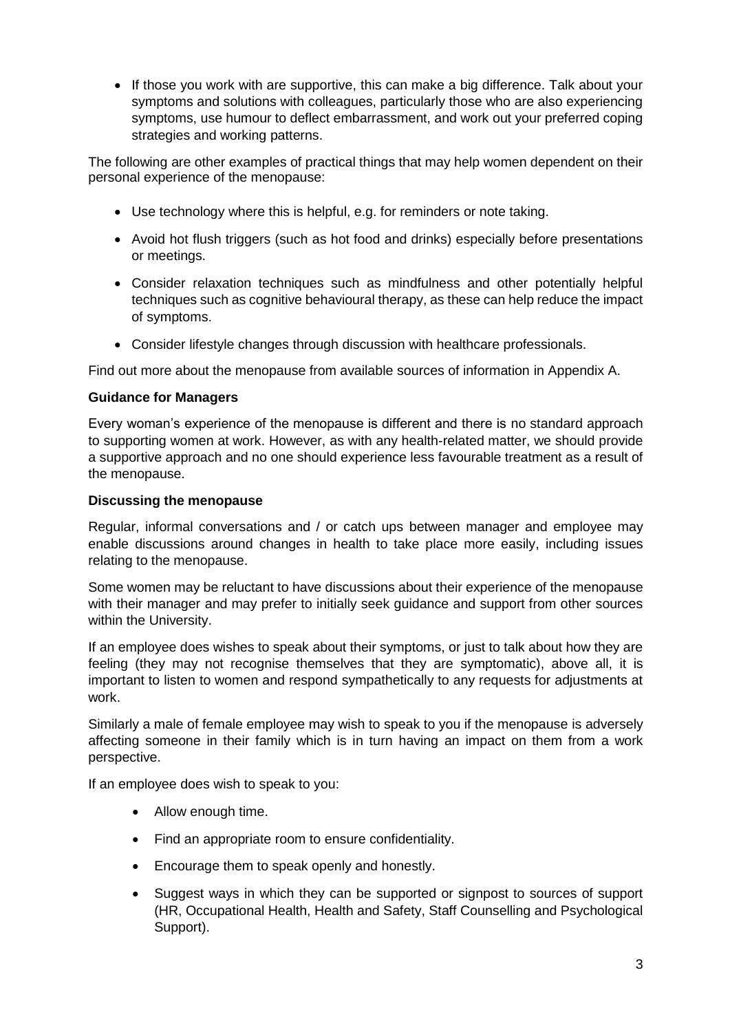• If those you work with are supportive, this can make a big difference. Talk about your symptoms and solutions with colleagues, particularly those who are also experiencing symptoms, use humour to deflect embarrassment, and work out your preferred coping strategies and working patterns.

The following are other examples of practical things that may help women dependent on their personal experience of the menopause:

- Use technology where this is helpful, e.g. for reminders or note taking.
- Avoid hot flush triggers (such as hot food and drinks) especially before presentations or meetings.
- Consider relaxation techniques such as mindfulness and other potentially helpful techniques such as cognitive behavioural therapy, as these can help reduce the impact of symptoms.
- Consider lifestyle changes through discussion with healthcare professionals.

Find out more about the menopause from available sources of information in Appendix A.

# **Guidance for Managers**

Every woman's experience of the menopause is different and there is no standard approach to supporting women at work. However, as with any health-related matter, we should provide a supportive approach and no one should experience less favourable treatment as a result of the menopause.

## **Discussing the menopause**

Regular, informal conversations and / or catch ups between manager and employee may enable discussions around changes in health to take place more easily, including issues relating to the menopause.

Some women may be reluctant to have discussions about their experience of the menopause with their manager and may prefer to initially seek guidance and support from other sources within the University.

If an employee does wishes to speak about their symptoms, or just to talk about how they are feeling (they may not recognise themselves that they are symptomatic), above all, it is important to listen to women and respond sympathetically to any requests for adjustments at work.

Similarly a male of female employee may wish to speak to you if the menopause is adversely affecting someone in their family which is in turn having an impact on them from a work perspective.

If an employee does wish to speak to you:

- Allow enough time.
- Find an appropriate room to ensure confidentiality.
- Encourage them to speak openly and honestly.
- Suggest ways in which they can be supported or signpost to sources of support (HR, Occupational Health, Health and Safety, Staff Counselling and Psychological Support).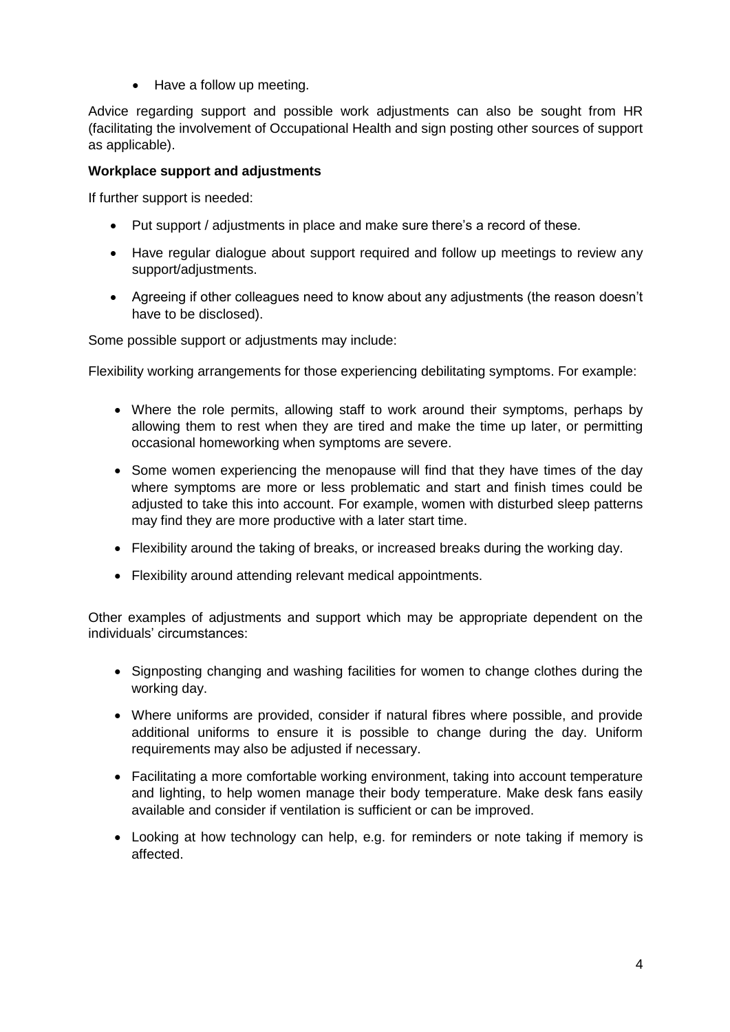• Have a follow up meeting.

Advice regarding support and possible work adjustments can also be sought from HR (facilitating the involvement of Occupational Health and sign posting other sources of support as applicable).

# **Workplace support and adjustments**

If further support is needed:

- Put support / adjustments in place and make sure there's a record of these.
- Have regular dialogue about support required and follow up meetings to review any support/adjustments.
- Agreeing if other colleagues need to know about any adjustments (the reason doesn't have to be disclosed).

Some possible support or adjustments may include:

Flexibility working arrangements for those experiencing debilitating symptoms. For example:

- Where the role permits, allowing staff to work around their symptoms, perhaps by allowing them to rest when they are tired and make the time up later, or permitting occasional homeworking when symptoms are severe.
- Some women experiencing the menopause will find that they have times of the day where symptoms are more or less problematic and start and finish times could be adjusted to take this into account. For example, women with disturbed sleep patterns may find they are more productive with a later start time.
- Flexibility around the taking of breaks, or increased breaks during the working day.
- Flexibility around attending relevant medical appointments.

Other examples of adjustments and support which may be appropriate dependent on the individuals' circumstances:

- Signposting changing and washing facilities for women to change clothes during the working day.
- Where uniforms are provided, consider if natural fibres where possible, and provide additional uniforms to ensure it is possible to change during the day. Uniform requirements may also be adjusted if necessary.
- Facilitating a more comfortable working environment, taking into account temperature and lighting, to help women manage their body temperature. Make desk fans easily available and consider if ventilation is sufficient or can be improved.
- Looking at how technology can help, e.g. for reminders or note taking if memory is affected.